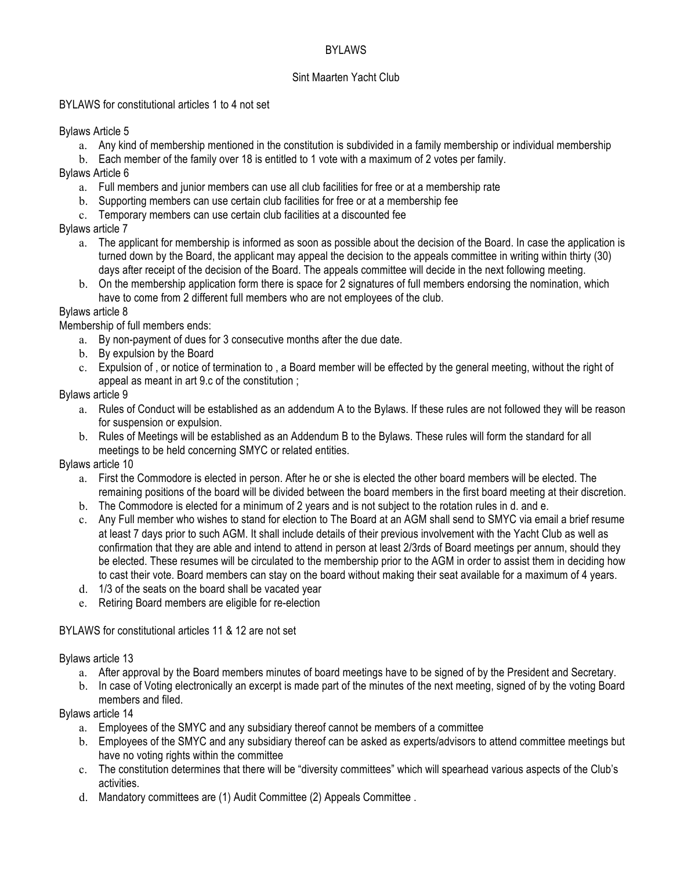## BYLAWS

#### Sint Maarten Yacht Club

#### BYLAWS for constitutional articles 1 to 4 not set

Bylaws Article 5

- a. Any kind of membership mentioned in the constitution is subdivided in a family membership or individual membership
- b. Each member of the family over 18 is entitled to 1 vote with a maximum of 2 votes per family.

Bylaws Article 6

- a. Full members and junior members can use all club facilities for free or at a membership rate
- b. Supporting members can use certain club facilities for free or at a membership fee
- c. Temporary members can use certain club facilities at a discounted fee

# Bylaws article 7

- a. The applicant for membership is informed as soon as possible about the decision of the Board. In case the application is turned down by the Board, the applicant may appeal the decision to the appeals committee in writing within thirty (30) days after receipt of the decision of the Board. The appeals committee will decide in the next following meeting.
- b. On the membership application form there is space for 2 signatures of full members endorsing the nomination, which have to come from 2 different full members who are not employees of the club.

# Bylaws article 8

Membership of full members ends:

- a. By non-payment of dues for 3 consecutive months after the due date.
- b. By expulsion by the Board
- c. Expulsion of , or notice of termination to , a Board member will be effected by the general meeting, without the right of appeal as meant in art 9.c of the constitution ;

## Bylaws article 9

- a. Rules of Conduct will be established as an addendum A to the Bylaws. If these rules are not followed they will be reason for suspension or expulsion.
- b. Rules of Meetings will be established as an Addendum B to the Bylaws. These rules will form the standard for all meetings to be held concerning SMYC or related entities.

## Bylaws article 10

- a. First the Commodore is elected in person. After he or she is elected the other board members will be elected. The remaining positions of the board will be divided between the board members in the first board meeting at their discretion.
- b. The Commodore is elected for a minimum of 2 years and is not subject to the rotation rules in d. and e.
- c. Any Full member who wishes to stand for election to The Board at an AGM shall send to SMYC via email a brief resume at least 7 days prior to such AGM. It shall include details of their previous involvement with the Yacht Club as well as confirmation that they are able and intend to attend in person at least 2/3rds of Board meetings per annum, should they be elected. These resumes will be circulated to the membership prior to the AGM in order to assist them in deciding how to cast their vote. Board members can stay on the board without making their seat available for a maximum of 4 years.
- d. 1/3 of the seats on the board shall be vacated year
- e. Retiring Board members are eligible for re-election

## BYLAWS for constitutional articles 11 & 12 are not set

## Bylaws article 13

- a. After approval by the Board members minutes of board meetings have to be signed of by the President and Secretary.
- b. In case of Voting electronically an excerpt is made part of the minutes of the next meeting, signed of by the voting Board members and filed.

## Bylaws article 14

- a. Employees of the SMYC and any subsidiary thereof cannot be members of a committee
- b. Employees of the SMYC and any subsidiary thereof can be asked as experts/advisors to attend committee meetings but have no voting rights within the committee
- c. The constitution determines that there will be "diversity committees" which will spearhead various aspects of the Club's activities.
- d. Mandatory committees are (1) Audit Committee (2) Appeals Committee .